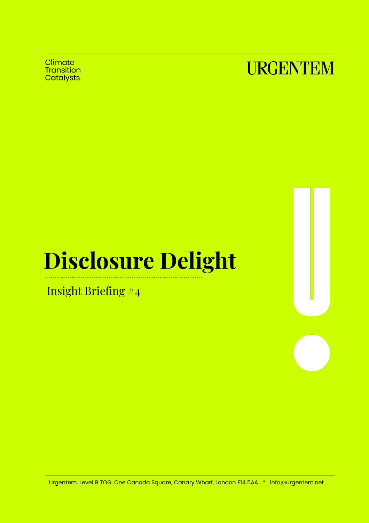Climate Transition **Catalysts** 



# **Disclosure Delight**

Insight Briefing #4

Urgentem, Level 9 TOG, One Canada Square, Canary Wharf, London E14 5AA \* info@urgentem.net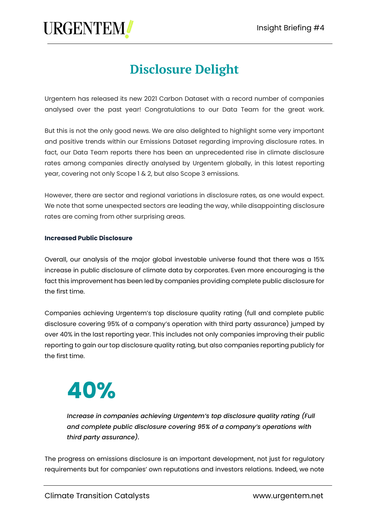### **Disclosure Delight**

Urgentem has released its new 2021 Carbon Dataset with a record number of companies analysed over the past year! Congratulations to our Data Team for the great work.

But this is not the only good news. We are also delighted to highlight some very important and positive trends within our Emissions Dataset regarding improving disclosure rates. In fact, our Data Team reports there has been an unprecedented rise in climate disclosure rates among companies directly analysed by Urgentem globally, in this latest reporting year, covering not only Scope 1 & 2, but also Scope 3 emissions.

However, there are sector and regional variations in disclosure rates, as one would expect. We note that some unexpected sectors are leading the way, while disappointing disclosure rates are coming from other surprising areas.

#### **Increased Public Disclosure**

Overall, our analysis of the major global investable universe found that there was a 15% increase in public disclosure of climate data by corporates. Even more encouraging is the fact this improvement has been led by companies providing complete public disclosure for the first time.

Companies achieving Urgentem's top disclosure quality rating (full and complete public disclosure covering 95% of a company's operation with third party assurance) jumped by over 40% in the last reporting year. This includes not only companies improving their public reporting to gain our top disclosure quality rating, but also companies reporting publicly for the first time.

## **40%**

*Increase in companies achieving Urgentem's top disclosure quality rating (Full and complete public disclosure covering 95% of a company's operations with third party assurance).*

The progress on emissions disclosure is an important development, not just for regulatory requirements but for companies' own reputations and investors relations. Indeed, we note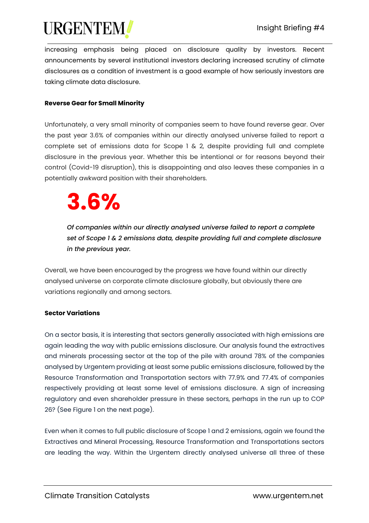increasing emphasis being placed on disclosure quality by investors. Recent announcements by several institutional investors declaring increased scrutiny of climate disclosures as a condition of investment is a good example of how seriously investors are taking climate data disclosure.

#### **Reverse Gear for Small Minority**

Unfortunately, a very small minority of companies seem to have found reverse gear. Over the past year 3.6% of companies within our directly analysed universe failed to report a complete set of emissions data for Scope 1 & 2, despite providing full and complete disclosure in the previous year. Whether this be intentional or for reasons beyond their control (Covid-19 disruption), this is disappointing and also leaves these companies in a potentially awkward position with their shareholders.

## **3.6%**

*Of companies within our directly analysed universe failed to report a complete set of Scope 1 & 2 emissions data, despite providing full and complete disclosure in the previous year.*

Overall, we have been encouraged by the progress we have found within our directly analysed universe on corporate climate disclosure globally, but obviously there are variations regionally and among sectors.

#### **Sector Variations**

On a sector basis, it is interesting that sectors generally associated with high emissions are again leading the way with public emissions disclosure. Our analysis found the extractives and minerals processing sector at the top of the pile with around 78% of the companies analysed by Urgentem providing at least some public emissions disclosure, followed by the Resource Transformation and Transportation sectors with 77.9% and 77.4% of companies respectively providing at least some level of emissions disclosure. A sign of increasing regulatory and even shareholder pressure in these sectors, perhaps in the run up to COP 26? (See Figure 1 on the next page).

Even when it comes to full public disclosure of Scope 1 and 2 emissions, again we found the Extractives and Mineral Processing, Resource Transformation and Transportations sectors are leading the way. Within the Urgentem directly analysed universe all three of these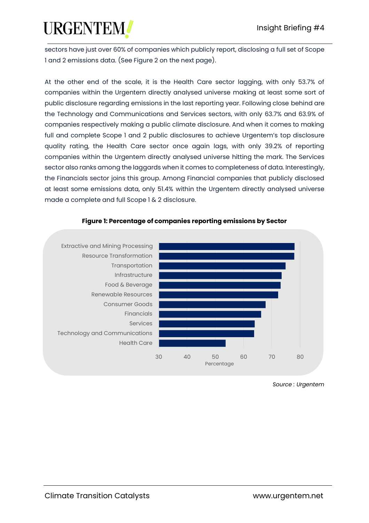sectors have just over 60% of companies which publicly report, disclosing a full set of Scope 1 and 2 emissions data. (See Figure 2 on the next page).

At the other end of the scale, it is the Health Care sector lagging, with only 53.7% of companies within the Urgentem directly analysed universe making at least some sort of public disclosure regarding emissions in the last reporting year. Following close behind are the Technology and Communications and Services sectors, with only 63.7% and 63.9% of companies respectively making a public climate disclosure. And when it comes to making full and complete Scope 1 and 2 public disclosures to achieve Urgentem's top disclosure quality rating, the Health Care sector once again lags, with only 39.2% of reporting companies within the Urgentem directly analysed universe hitting the mark. The Services sector also ranks among the laggards when it comes to completeness of data. Interestingly, the Financials sector joins this group. Among Financial companies that publicly disclosed at least some emissions data, only 51.4% within the Urgentem directly analysed universe made a complete and full Scope 1 & 2 disclosure.



#### **Figure 1: Percentage of companies reporting emissions by Sector**

*Source : Urgentem*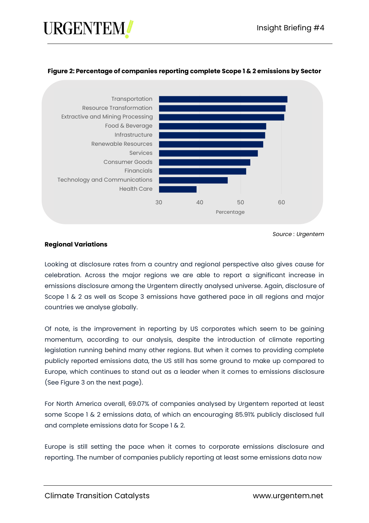#### **Figure 2: Percentage of companies reporting complete Scope 1 & 2 emissions by Sector**



*Source : Urgentem*

#### **Regional Variations**

Looking at disclosure rates from a country and regional perspective also gives cause for celebration. Across the major regions we are able to report a significant increase in emissions disclosure among the Urgentem directly analysed universe. Again, disclosure of Scope 1 & 2 as well as Scope 3 emissions have gathered pace in all regions and major countries we analyse globally.

Of note, is the improvement in reporting by US corporates which seem to be gaining momentum, according to our analysis, despite the introduction of climate reporting legislation running behind many other regions. But when it comes to providing complete publicly reported emissions data, the US still has some ground to make up compared to Europe, which continues to stand out as a leader when it comes to emissions disclosure (See Figure 3 on the next page).

For North America overall, 69.07% of companies analysed by Urgentem reported at least some Scope 1 & 2 emissions data, of which an encouraging 85.91% publicly disclosed full and complete emissions data for Scope 1 & 2.

Europe is still setting the pace when it comes to corporate emissions disclosure and reporting. The number of companies publicly reporting at least some emissions data now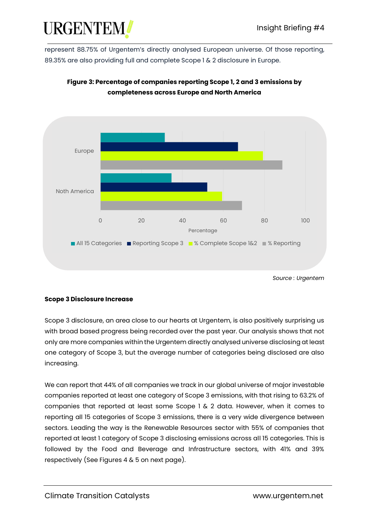represent 88.75% of Urgentem's directly analysed European universe. Of those reporting, 89.35% are also providing full and complete Scope 1 & 2 disclosure in Europe.



#### **Figure 3: Percentage of companies reporting Scope 1, 2 and 3 emissions by completeness across Europe and North America**

*Source : Urgentem*

#### **Scope 3 Disclosure Increase**

Scope 3 disclosure, an area close to our hearts at Urgentem, is also positively surprising us with broad based progress being recorded over the past year. Our analysis shows that not only are more companies within the Urgentem directly analysed universe disclosing at least one category of Scope 3, but the average number of categories being disclosed are also increasing.

We can report that 44% of all companies we track in our global universe of major investable companies reported at least one category of Scope 3 emissions, with that rising to 63.2% of companies that reported at least some Scope 1 & 2 data. However, when it comes to reporting all 15 categories of Scope 3 emissions, there is a very wide divergence between sectors. Leading the way is the Renewable Resources sector with 55% of companies that reported at least 1 category of Scope 3 disclosing emissions across all 15 categories. This is followed by the Food and Beverage and Infrastructure sectors, with 41% and 39% respectively (See Figures 4 & 5 on next page).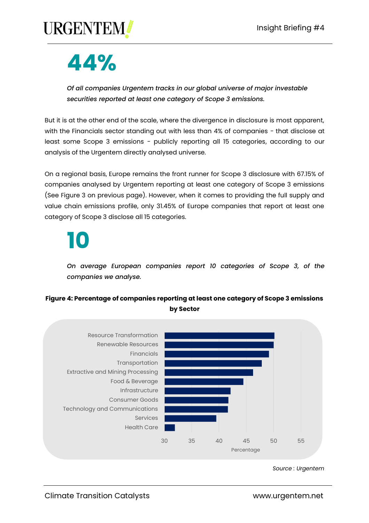

## **44%**

*Of all companies Urgentem tracks in our global universe of major investable securities reported at least one category of Scope 3 emissions.*

But it is at the other end of the scale, where the divergence in disclosure is most apparent, with the Financials sector standing out with less than 4% of companies - that disclose at least some Scope 3 emissions - publicly reporting all 15 categories, according to our analysis of the Urgentem directly analysed universe.

On a regional basis, Europe remains the front runner for Scope 3 disclosure with 67.15% of companies analysed by Urgentem reporting at least one category of Scope 3 emissions (See Figure 3 on previous page). However, when it comes to providing the full supply and value chain emissions profile, only 31.45% of Europe companies that report at least one category of Scope 3 disclose all 15 categories.

# **10**

*On average European companies report 10 categories of Scope 3, of the companies we analyse.*

#### **Figure 4: Percentage of companies reporting at least one category of Scope 3 emissions by Sector**



*Source : Urgentem*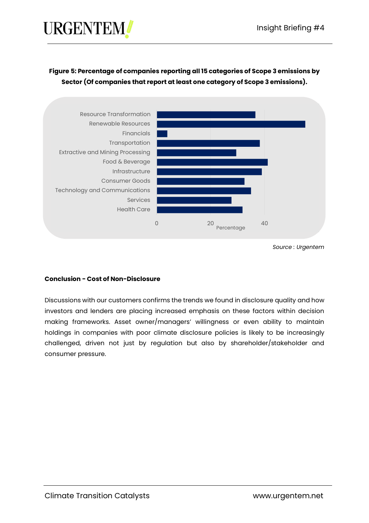#### **Figure 5: Percentage of companies reporting all 15 categories of Scope 3 emissions by Sector (Of companies that report at least one category of Scope 3 emissions).**



*Source : Urgentem*

#### **Conclusion - Cost of Non-Disclosure**

Discussions with our customers confirms the trends we found in disclosure quality and how investors and lenders are placing increased emphasis on these factors within decision making frameworks. Asset owner/managers' willingness or even ability to maintain holdings in companies with poor climate disclosure policies is likely to be increasingly challenged, driven not just by regulation but also by shareholder/stakeholder and consumer pressure.